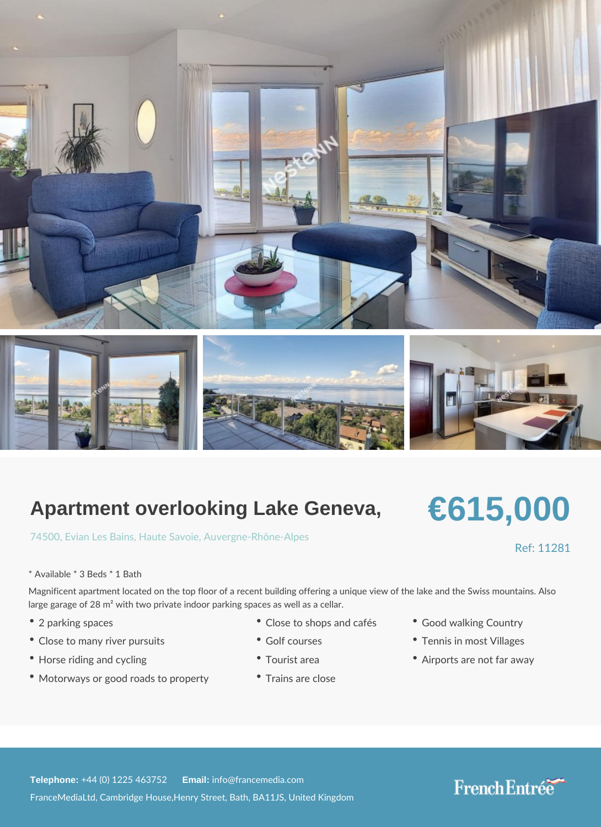## Apartment overlooking Lake Geneva,

## [7450](https://www.frenchentree.com/property-for-sale/property-for-sale-france/74500-xx-evian+les+bains-xx-haute+savoie-xx-auvergne-rhone-alpes), Ervian Les, HB auntes Sa Aunicergne-Rhône-Alpes

\* Available \* 3 Beds \* 1 Bath

Magnificent apartment located on the top floor of a recent building offering a unique vie large garage of 28 m<sup>2</sup> with two private indoor parking spaces as well as a cellar.

- 
- Close to many river pursuits Golf courses Tennis in most Villages
- 
- Motorways or good roads to proTprearitrys are close

Telephone: +44 (0) 1225 46E3m2a & 2info@francemedia.com FranceMediaLtd, Cambridge House,Henry Street, Bath, BA11JS, United Kingdom

- 2 parking spaces Close to shops and  $\mathbf{c}$  and  $\mathbf{c}$  and  $\mathbf{c}$  ountry
	-
- Horse riding and cycling Tourist area Airports are not far away

Ref: 11281

# €615,000